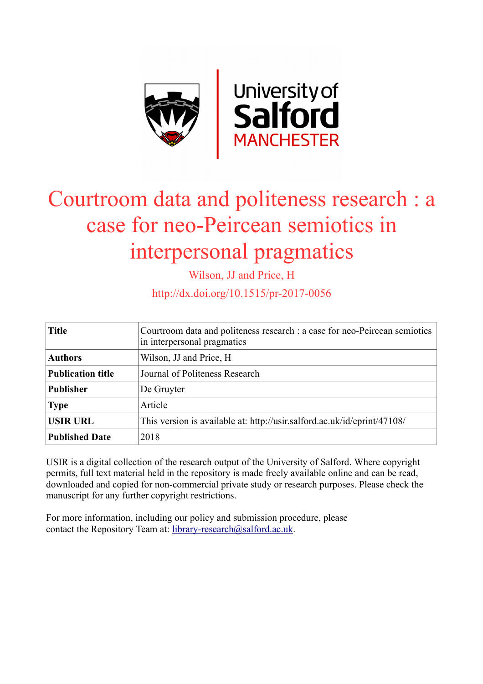

# Courtroom data and politeness research : a case for neo-Peircean semiotics in interpersonal pragmatics

Wilson, JJ and Price, H

http://dx.doi.org/10.1515/pr-2017-0056

| <b>Title</b>             | Courtroom data and politeness research : a case for neo-Peircean semiotics<br>in interpersonal pragmatics |  |
|--------------------------|-----------------------------------------------------------------------------------------------------------|--|
| <b>Authors</b>           | Wilson, JJ and Price, H                                                                                   |  |
| <b>Publication title</b> | Journal of Politeness Research                                                                            |  |
| <b>Publisher</b>         | De Gruyter                                                                                                |  |
| <b>Type</b>              | Article                                                                                                   |  |
| <b>USIR URL</b>          | This version is available at: http://usir.salford.ac.uk/id/eprint/47108/                                  |  |
| <b>Published Date</b>    | 2018                                                                                                      |  |

USIR is a digital collection of the research output of the University of Salford. Where copyright permits, full text material held in the repository is made freely available online and can be read, downloaded and copied for non-commercial private study or research purposes. Please check the manuscript for any further copyright restrictions.

For more information, including our policy and submission procedure, please contact the Repository Team at: [library-research@salford.ac.uk.](mailto:library-research@salford.ac.uk)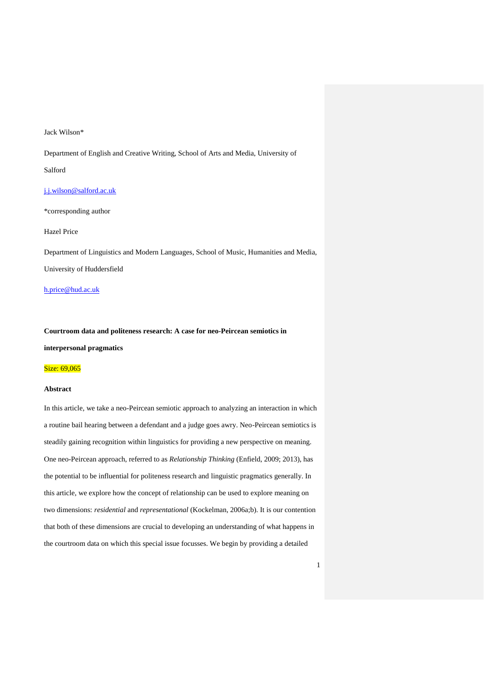## Jack Wilson\*

Department of English and Creative Writing, School of Arts and Media, University of Salford

[j.j.wilson@salford.ac.uk](mailto:j.j.wilson@salford.ac.uk)

\*corresponding author

Hazel Price

Department of Linguistics and Modern Languages, School of Music, Humanities and Media, University of Huddersfield

# [h.price@hud.ac.uk](mailto:h.price@hud.ac.uk)

**Courtroom data and politeness research: A case for neo-Peircean semiotics in interpersonal pragmatics**

# Size: 69,065

## **Abstract**

In this article, we take a neo-Peircean semiotic approach to analyzing an interaction in which a routine bail hearing between a defendant and a judge goes awry. Neo-Peircean semiotics is steadily gaining recognition within linguistics for providing a new perspective on meaning. One neo-Peircean approach, referred to as *Relationship Thinking* (Enfield, 2009; 2013), has the potential to be influential for politeness research and linguistic pragmatics generally. In this article, we explore how the concept of relationship can be used to explore meaning on two dimensions: *residential* and *representational* (Kockelman, 2006a;b). It is our contention that both of these dimensions are crucial to developing an understanding of what happens in the courtroom data on which this special issue focusses. We begin by providing a detailed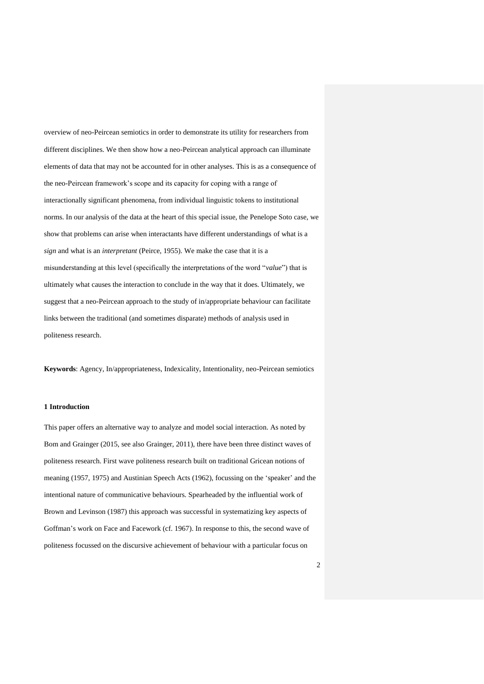overview of neo-Peircean semiotics in order to demonstrate its utility for researchers from different disciplines. We then show how a neo-Peircean analytical approach can illuminate elements of data that may not be accounted for in other analyses. This is as a consequence of the neo-Peircean framework's scope and its capacity for coping with a range of interactionally significant phenomena, from individual linguistic tokens to institutional norms. In our analysis of the data at the heart of this special issue, the Penelope Soto case, we show that problems can arise when interactants have different understandings of what is a *sign* and what is an *interpretant* (Peirce, 1955). We make the case that it is a misunderstanding at this level (specifically the interpretations of the word "*value*") that is ultimately what causes the interaction to conclude in the way that it does. Ultimately, we suggest that a neo-Peircean approach to the study of in/appropriate behaviour can facilitate links between the traditional (and sometimes disparate) methods of analysis used in politeness research.

**Keywords**: Agency, In/appropriateness, Indexicality, Intentionality, neo-Peircean semiotics

## **1 Introduction**

This paper offers an alternative way to analyze and model social interaction. As noted by Bom and Grainger (2015, see also Grainger, 2011), there have been three distinct waves of politeness research. First wave politeness research built on traditional Gricean notions of meaning (1957, 1975) and Austinian Speech Acts (1962), focussing on the 'speaker' and the intentional nature of communicative behaviours. Spearheaded by the influential work of Brown and Levinson (1987) this approach was successful in systematizing key aspects of Goffman's work on Face and Facework (cf. 1967). In response to this, the second wave of politeness focussed on the discursive achievement of behaviour with a particular focus on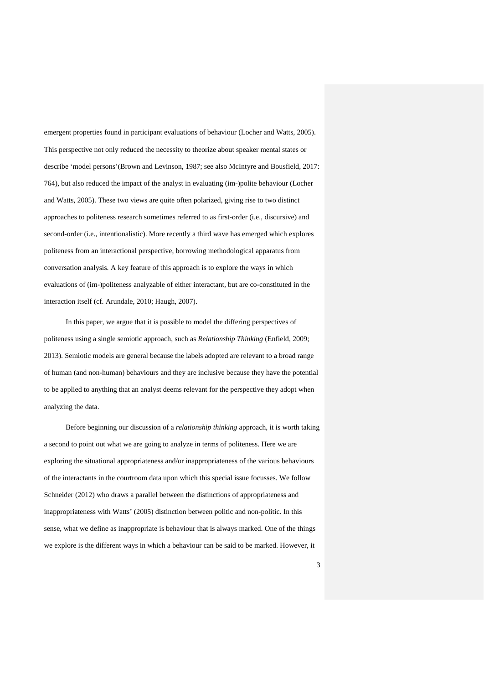emergent properties found in participant evaluations of behaviour (Locher and Watts, 2005). This perspective not only reduced the necessity to theorize about speaker mental states or describe 'model persons'(Brown and Levinson, 1987; see also McIntyre and Bousfield, 2017: 764), but also reduced the impact of the analyst in evaluating (im-)polite behaviour (Locher and Watts, 2005). These two views are quite often polarized, giving rise to two distinct approaches to politeness research sometimes referred to as first-order (i.e., discursive) and second-order (i.e., intentionalistic). More recently a third wave has emerged which explores politeness from an interactional perspective, borrowing methodological apparatus from conversation analysis. A key feature of this approach is to explore the ways in which evaluations of (im-)politeness analyzable of either interactant, but are co-constituted in the interaction itself (cf. Arundale, 2010; Haugh, 2007).

In this paper, we argue that it is possible to model the differing perspectives of politeness using a single semiotic approach, such as *Relationship Thinking* (Enfield, 2009; 2013). Semiotic models are general because the labels adopted are relevant to a broad range of human (and non-human) behaviours and they are inclusive because they have the potential to be applied to anything that an analyst deems relevant for the perspective they adopt when analyzing the data.

Before beginning our discussion of a *relationship thinking* approach, it is worth taking a second to point out what we are going to analyze in terms of politeness. Here we are exploring the situational appropriateness and/or inappropriateness of the various behaviours of the interactants in the courtroom data upon which this special issue focusses. We follow Schneider (2012) who draws a parallel between the distinctions of appropriateness and inappropriateness with Watts' (2005) distinction between politic and non-politic. In this sense, what we define as inappropriate is behaviour that is always marked. One of the things we explore is the different ways in which a behaviour can be said to be marked. However, it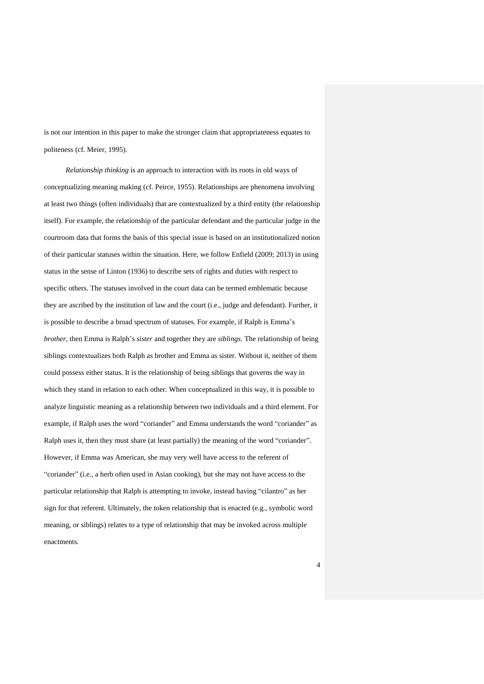is not our intention in this paper to make the stronger claim that appropriateness equates to politeness (cf. Meier, 1995).

*Relationship thinking* is an approach to interaction with its roots in old ways of conceptualizing meaning making (cf. Peirce, 1955). Relationships are phenomena involving at least two things (often individuals) that are contextualized by a third entity (the relationship itself). For example, the relationship of the particular defendant and the particular judge in the courtroom data that forms the basis of this special issue is based on an institutionalized notion of their particular statuses within the situation. Here, we follow Enfield (2009; 2013) in using status in the sense of Linton (1936) to describe sets of rights and duties with respect to specific others. The statuses involved in the court data can be termed emblematic because they are ascribed by the institution of law and the court (i.e., judge and defendant). Further, it is possible to describe a broad spectrum of statuses. For example, if Ralph is Emma's *brother*, then Emma is Ralph's *sister* and together they are *siblings*. The relationship of being siblings contextualizes both Ralph as brother and Emma as sister. Without it, neither of them could possess either status. It is the relationship of being siblings that governs the way in which they stand in relation to each other. When conceptualized in this way, it is possible to analyze linguistic meaning as a relationship between two individuals and a third element. For example, if Ralph uses the word "coriander" and Emma understands the word "coriander" as Ralph uses it, then they must share (at least partially) the meaning of the word "coriander". However, if Emma was American, she may very well have access to the referent of "coriander" (i.e., a herb often used in Asian cooking), but she may not have access to the particular relationship that Ralph is attempting to invoke, instead having "cilantro" as her sign for that referent. Ultimately, the token relationship that is enacted (e.g., symbolic word meaning, or siblings) relates to a type of relationship that may be invoked across multiple enactments.

4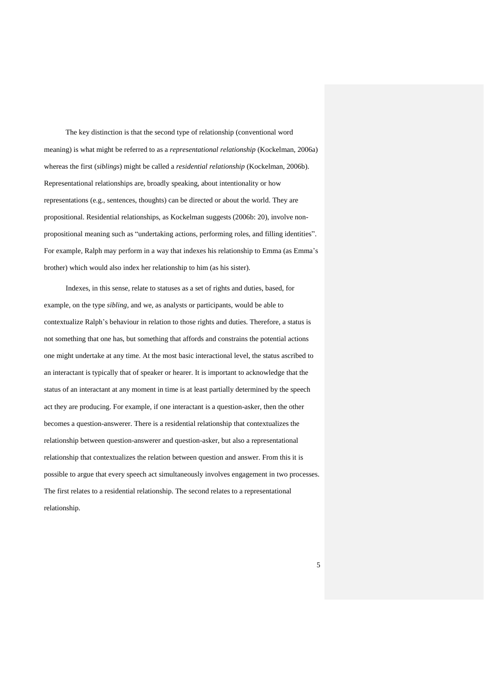The key distinction is that the second type of relationship (conventional word meaning) is what might be referred to as a *representational relationship* (Kockelman, 2006a) whereas the first (*siblings*) might be called a *residential relationship* (Kockelman, 2006b). Representational relationships are, broadly speaking, about intentionality or how representations (e.g., sentences, thoughts) can be directed or about the world. They are propositional. Residential relationships, as Kockelman suggests (2006b: 20), involve nonpropositional meaning such as "undertaking actions, performing roles, and filling identities". For example, Ralph may perform in a way that indexes his relationship to Emma (as Emma's brother) which would also index her relationship to him (as his sister).

Indexes, in this sense, relate to statuses as a set of rights and duties, based, for example, on the type *sibling*, and we, as analysts or participants, would be able to contextualize Ralph's behaviour in relation to those rights and duties. Therefore, a status is not something that one has, but something that affords and constrains the potential actions one might undertake at any time. At the most basic interactional level, the status ascribed to an interactant is typically that of speaker or hearer. It is important to acknowledge that the status of an interactant at any moment in time is at least partially determined by the speech act they are producing. For example, if one interactant is a question-asker, then the other becomes a question-answerer. There is a residential relationship that contextualizes the relationship between question-answerer and question-asker, but also a representational relationship that contextualizes the relation between question and answer. From this it is possible to argue that every speech act simultaneously involves engagement in two processes. The first relates to a residential relationship. The second relates to a representational relationship.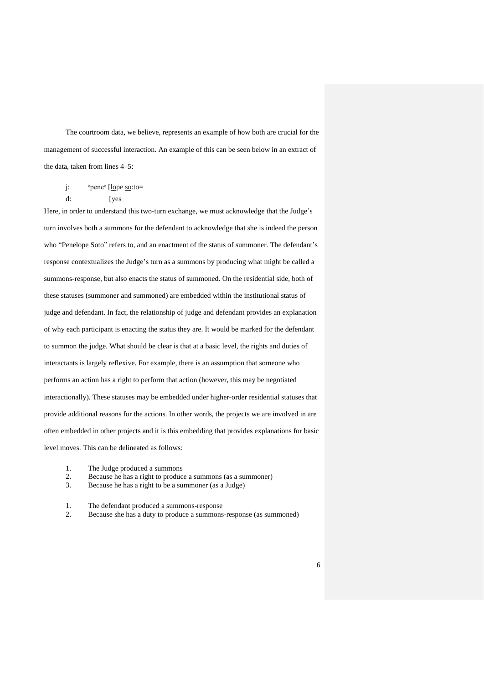The courtroom data, we believe, represents an example of how both are crucial for the management of successful interaction. An example of this can be seen below in an extract of the data, taken from lines 4–5:

## j: opene<sup>o</sup> [lope so:to=

```
d: [yes
```
Here, in order to understand this two-turn exchange, we must acknowledge that the Judge's turn involves both a summons for the defendant to acknowledge that she is indeed the person who "Penelope Soto" refers to, and an enactment of the status of summoner. The defendant's response contextualizes the Judge's turn as a summons by producing what might be called a summons-response, but also enacts the status of summoned. On the residential side, both of these statuses (summoner and summoned) are embedded within the institutional status of judge and defendant. In fact, the relationship of judge and defendant provides an explanation of why each participant is enacting the status they are. It would be marked for the defendant to summon the judge. What should be clear is that at a basic level, the rights and duties of interactants is largely reflexive. For example, there is an assumption that someone who performs an action has a right to perform that action (however, this may be negotiated interactionally). These statuses may be embedded under higher-order residential statuses that provide additional reasons for the actions. In other words, the projects we are involved in are often embedded in other projects and it is this embedding that provides explanations for basic level moves. This can be delineated as follows:

- 1. The Judge produced a summons
- 2. Because he has a right to produce a summons (as a summoner)
- 3. Because he has a right to be a summoner (as a Judge)
- 1. The defendant produced a summons-response
- 2. Because she has a duty to produce a summons-response (as summoned)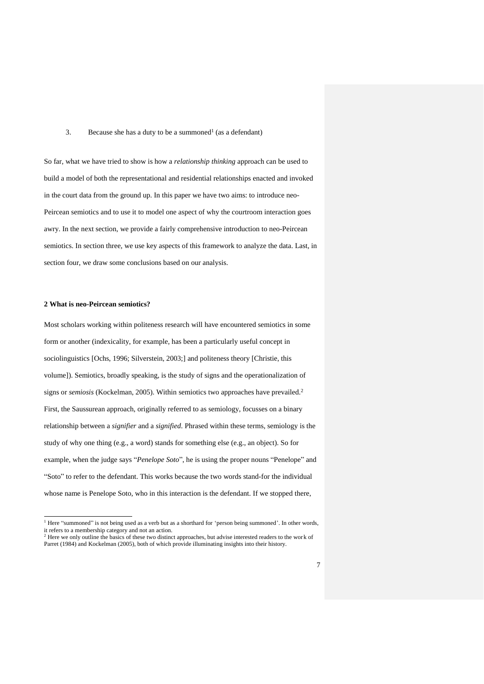#### 3. Because she has a duty to be a summoned<sup>1</sup> (as a defendant)

So far, what we have tried to show is how a *relationship thinking* approach can be used to build a model of both the representational and residential relationships enacted and invoked in the court data from the ground up. In this paper we have two aims: to introduce neo-Peircean semiotics and to use it to model one aspect of why the courtroom interaction goes awry. In the next section, we provide a fairly comprehensive introduction to neo-Peircean semiotics. In section three, we use key aspects of this framework to analyze the data. Last, in section four, we draw some conclusions based on our analysis.

#### **2 What is neo-Peircean semiotics?**

 $\overline{a}$ 

Most scholars working within politeness research will have encountered semiotics in some form or another (indexicality, for example, has been a particularly useful concept in sociolinguistics [Ochs, 1996; Silverstein, 2003;] and politeness theory [Christie, this volume]). Semiotics, broadly speaking, is the study of signs and the operationalization of signs or *semiosis* (Kockelman, 2005). Within semiotics two approaches have prevailed.<sup>2</sup> First, the Saussurean approach, originally referred to as semiology, focusses on a binary relationship between a *signifier* and a *signified*. Phrased within these terms, semiology is the study of why one thing (e.g., a word) stands for something else (e.g., an object). So for example, when the judge says "*Penelope Soto*", he is using the proper nouns "Penelope" and "Soto" to refer to the defendant. This works because the two words stand-for the individual whose name is Penelope Soto, who in this interaction is the defendant. If we stopped there,

<sup>&</sup>lt;sup>1</sup> Here "summoned" is not being used as a verb but as a shorthard for 'person being summoned'. In other words, it refers to a membership category and not an action.

<sup>&</sup>lt;sup>2</sup> Here we only outline the basics of these two distinct approaches, but advise interested readers to the work of Parret (1984) and Kockelman (2005), both of which provide illuminating insights into their history.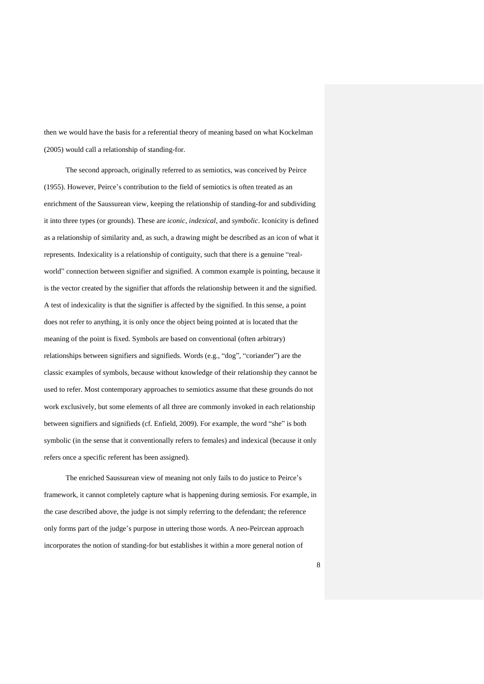then we would have the basis for a referential theory of meaning based on what Kockelman (2005) would call a relationship of standing-for.

The second approach, originally referred to as semiotics, was conceived by Peirce (1955). However, Peirce's contribution to the field of semiotics is often treated as an enrichment of the Saussurean view, keeping the relationship of standing-for and subdividing it into three types (or grounds). These are *iconic*, *indexical*, and *symbolic*. Iconicity is defined as a relationship of similarity and, as such, a drawing might be described as an icon of what it represents. Indexicality is a relationship of contiguity, such that there is a genuine "realworld" connection between signifier and signified. A common example is pointing, because it is the vector created by the signifier that affords the relationship between it and the signified. A test of indexicality is that the signifier is affected by the signified. In this sense, a point does not refer to anything, it is only once the object being pointed at is located that the meaning of the point is fixed. Symbols are based on conventional (often arbitrary) relationships between signifiers and signifieds. Words (e.g., "dog", "coriander") are the classic examples of symbols, because without knowledge of their relationship they cannot be used to refer. Most contemporary approaches to semiotics assume that these grounds do not work exclusively, but some elements of all three are commonly invoked in each relationship between signifiers and signifieds (cf. Enfield, 2009). For example, the word "she" is both symbolic (in the sense that it conventionally refers to females) and indexical (because it only refers once a specific referent has been assigned).

The enriched Saussurean view of meaning not only fails to do justice to Peirce's framework, it cannot completely capture what is happening during semiosis. For example, in the case described above, the judge is not simply referring to the defendant; the reference only forms part of the judge's purpose in uttering those words. A neo-Peircean approach incorporates the notion of standing-for but establishes it within a more general notion of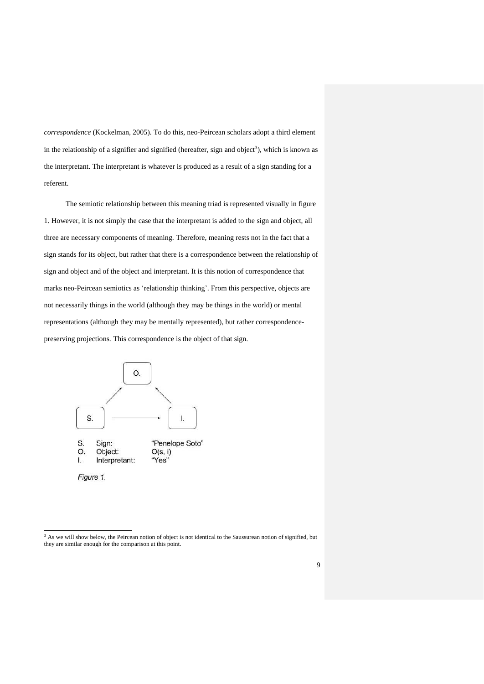*correspondence* (Kockelman, 2005). To do this, neo-Peircean scholars adopt a third element in the relationship of a signifier and signified (hereafter, sign and object<sup>3</sup>), which is known as the interpretant. The interpretant is whatever is produced as a result of a sign standing for a referent.

The semiotic relationship between this meaning triad is represented visually in figure 1. However, it is not simply the case that the interpretant is added to the sign and object, all three are necessary components of meaning. Therefore, meaning rests not in the fact that a sign stands for its object, but rather that there is a correspondence between the relationship of sign and object and of the object and interpretant. It is this notion of correspondence that marks neo-Peircean semiotics as 'relationship thinking'. From this perspective, objects are not necessarily things in the world (although they may be things in the world) or mental representations (although they may be mentally represented), but rather correspondencepreserving projections. This correspondence is the object of that sign.



 $\overline{a}$ 

 $3$  As we will show below, the Peircean notion of object is not identical to the Saussurean notion of signified, but they are similar enough for the comparison at this point.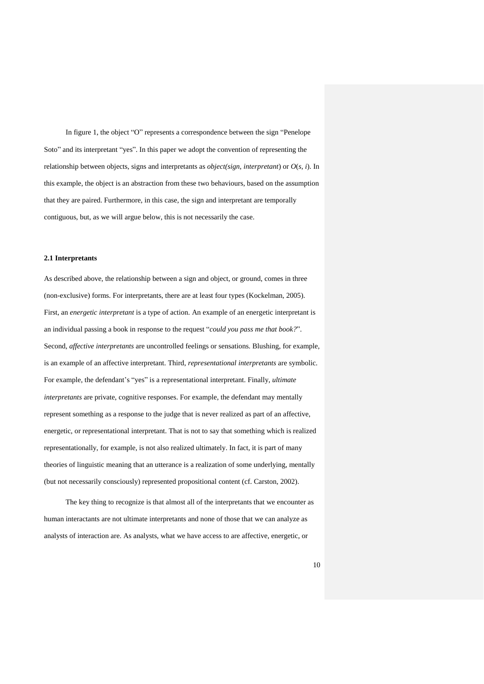In figure 1, the object "O" represents a correspondence between the sign "Penelope Soto" and its interpretant "yes". In this paper we adopt the convention of representing the relationship between objects, signs and interpretants as *object(sign, interpretant*) or *O*(*s, i*). In this example, the object is an abstraction from these two behaviours, based on the assumption that they are paired. Furthermore, in this case, the sign and interpretant are temporally contiguous, but, as we will argue below, this is not necessarily the case.

## **2.1 Interpretants**

As described above, the relationship between a sign and object, or ground, comes in three (non-exclusive) forms. For interpretants, there are at least four types (Kockelman, 2005). First, an *energetic interpretant* is a type of action. An example of an energetic interpretant is an individual passing a book in response to the request "*could you pass me that book?*". Second, *affective interpretants* are uncontrolled feelings or sensations. Blushing, for example, is an example of an affective interpretant. Third, *representational interpretants* are symbolic. For example, the defendant's "yes" is a representational interpretant. Finally, *ultimate interpretants* are private, cognitive responses. For example, the defendant may mentally represent something as a response to the judge that is never realized as part of an affective, energetic, or representational interpretant. That is not to say that something which is realized representationally, for example, is not also realized ultimately. In fact, it is part of many theories of linguistic meaning that an utterance is a realization of some underlying, mentally (but not necessarily consciously) represented propositional content (cf. Carston, 2002).

The key thing to recognize is that almost all of the interpretants that we encounter as human interactants are not ultimate interpretants and none of those that we can analyze as analysts of interaction are. As analysts, what we have access to are affective, energetic, or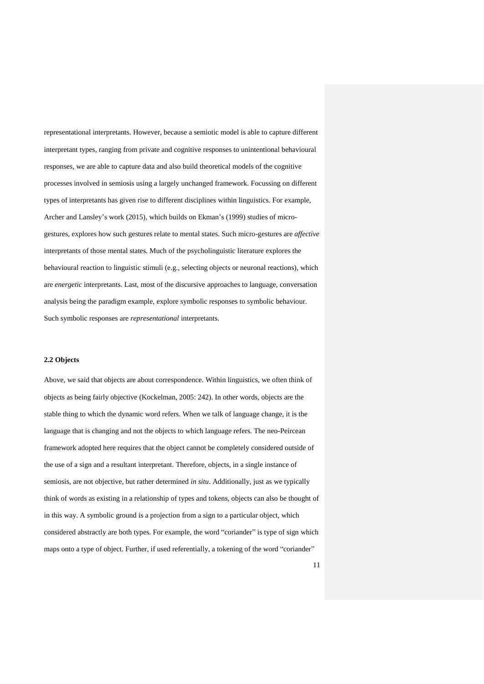representational interpretants. However, because a semiotic model is able to capture different interpretant types, ranging from private and cognitive responses to unintentional behavioural responses, we are able to capture data and also build theoretical models of the cognitive processes involved in semiosis using a largely unchanged framework. Focussing on different types of interpretants has given rise to different disciplines within linguistics. For example, Archer and Lansley's work (2015), which builds on Ekman's (1999) studies of microgestures, explores how such gestures relate to mental states. Such micro-gestures are *affective* interpretants of those mental states. Much of the psycholinguistic literature explores the behavioural reaction to linguistic stimuli (e.g., selecting objects or neuronal reactions), which are *energetic* interpretants. Last, most of the discursive approaches to language, conversation analysis being the paradigm example, explore symbolic responses to symbolic behaviour. Such symbolic responses are *representational* interpretants.

## **2.2 Objects**

Above, we said that objects are about correspondence. Within linguistics, we often think of objects as being fairly objective (Kockelman, 2005: 242). In other words, objects are the stable thing to which the dynamic word refers. When we talk of language change, it is the language that is changing and not the objects to which language refers. The neo-Peircean framework adopted here requires that the object cannot be completely considered outside of the use of a sign and a resultant interpretant. Therefore, objects, in a single instance of semiosis, are not objective, but rather determined *in situ*. Additionally, just as we typically think of words as existing in a relationship of types and tokens, objects can also be thought of in this way. A symbolic ground is a projection from a sign to a particular object, which considered abstractly are both types. For example, the word "coriander" is type of sign which maps onto a type of object. Further, if used referentially, a tokening of the word "coriander"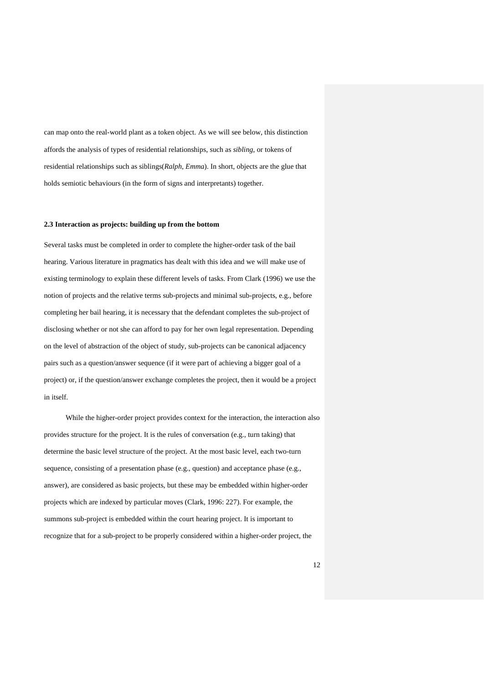can map onto the real-world plant as a token object. As we will see below, this distinction affords the analysis of types of residential relationships, such as *sibling*, or tokens of residential relationships such as siblings(*Ralph*, *Emma*). In short, objects are the glue that holds semiotic behaviours (in the form of signs and interpretants) together.

#### **2.3 Interaction as projects: building up from the bottom**

Several tasks must be completed in order to complete the higher-order task of the bail hearing. Various literature in pragmatics has dealt with this idea and we will make use of existing terminology to explain these different levels of tasks. From Clark (1996) we use the notion of projects and the relative terms sub-projects and minimal sub-projects, e.g., before completing her bail hearing, it is necessary that the defendant completes the sub-project of disclosing whether or not she can afford to pay for her own legal representation. Depending on the level of abstraction of the object of study, sub-projects can be canonical adjacency pairs such as a question/answer sequence (if it were part of achieving a bigger goal of a project) or, if the question/answer exchange completes the project, then it would be a project in itself.

While the higher-order project provides context for the interaction, the interaction also provides structure for the project. It is the rules of conversation (e.g., turn taking) that determine the basic level structure of the project. At the most basic level, each two-turn sequence, consisting of a presentation phase (e.g., question) and acceptance phase (e.g., answer), are considered as basic projects, but these may be embedded within higher-order projects which are indexed by particular moves (Clark, 1996: 227). For example, the summons sub-project is embedded within the court hearing project. It is important to recognize that for a sub-project to be properly considered within a higher-order project, the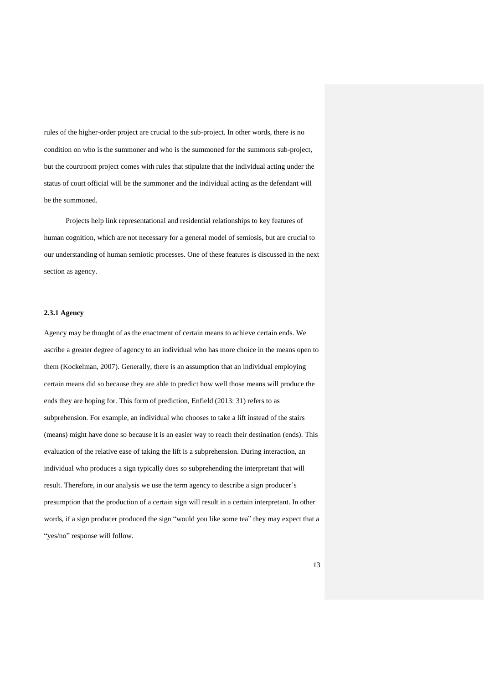rules of the higher-order project are crucial to the sub-project. In other words, there is no condition on who is the summoner and who is the summoned for the summons sub-project, but the courtroom project comes with rules that stipulate that the individual acting under the status of court official will be the summoner and the individual acting as the defendant will be the summoned.

Projects help link representational and residential relationships to key features of human cognition, which are not necessary for a general model of semiosis, but are crucial to our understanding of human semiotic processes. One of these features is discussed in the next section as agency.

## **2.3.1 Agency**

Agency may be thought of as the enactment of certain means to achieve certain ends. We ascribe a greater degree of agency to an individual who has more choice in the means open to them (Kockelman, 2007). Generally, there is an assumption that an individual employing certain means did so because they are able to predict how well those means will produce the ends they are hoping for. This form of prediction, Enfield (2013: 31) refers to as subprehension. For example, an individual who chooses to take a lift instead of the stairs (means) might have done so because it is an easier way to reach their destination (ends). This evaluation of the relative ease of taking the lift is a subprehension. During interaction, an individual who produces a sign typically does so subprehending the interpretant that will result. Therefore, in our analysis we use the term agency to describe a sign producer's presumption that the production of a certain sign will result in a certain interpretant. In other words, if a sign producer produced the sign "would you like some tea" they may expect that a "yes/no" response will follow.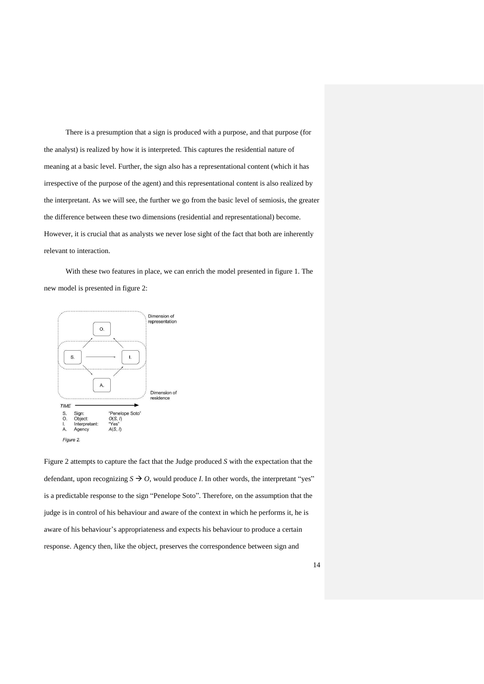There is a presumption that a sign is produced with a purpose, and that purpose (for the analyst) is realized by how it is interpreted. This captures the residential nature of meaning at a basic level. Further, the sign also has a representational content (which it has irrespective of the purpose of the agent) and this representational content is also realized by the interpretant. As we will see, the further we go from the basic level of semiosis, the greater the difference between these two dimensions (residential and representational) become. However, it is crucial that as analysts we never lose sight of the fact that both are inherently relevant to interaction.

With these two features in place, we can enrich the model presented in figure 1. The new model is presented in figure 2:



Figure 2 attempts to capture the fact that the Judge produced *S* with the expectation that the defendant, upon recognizing  $S \rightarrow O$ , would produce *I*. In other words, the interpretant "yes" is a predictable response to the sign "Penelope Soto". Therefore, on the assumption that the judge is in control of his behaviour and aware of the context in which he performs it, he is aware of his behaviour's appropriateness and expects his behaviour to produce a certain response. Agency then, like the object, preserves the correspondence between sign and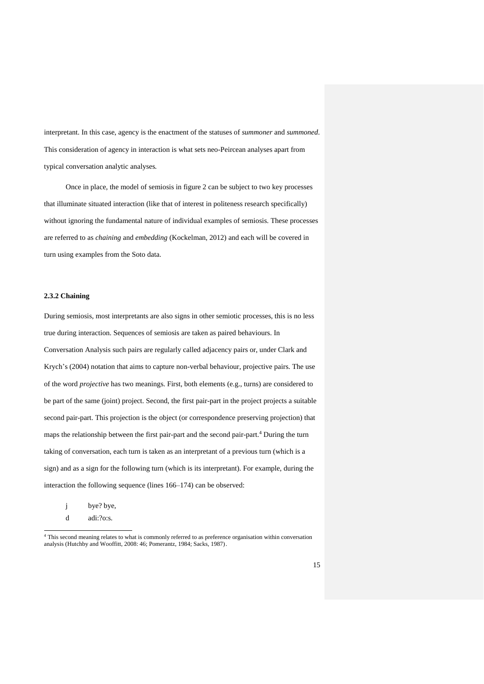interpretant. In this case, agency is the enactment of the statuses of *summoner* and *summoned*. This consideration of agency in interaction is what sets neo-Peircean analyses apart from typical conversation analytic analyses*.*

Once in place, the model of semiosis in figure 2 can be subject to two key processes that illuminate situated interaction (like that of interest in politeness research specifically) without ignoring the fundamental nature of individual examples of semiosis. These processes are referred to as *chaining* and *embedding* (Kockelman, 2012) and each will be covered in turn using examples from the Soto data.

#### **2.3.2 Chaining**

During semiosis, most interpretants are also signs in other semiotic processes, this is no less true during interaction. Sequences of semiosis are taken as paired behaviours. In Conversation Analysis such pairs are regularly called adjacency pairs or, under Clark and Krych's (2004) notation that aims to capture non-verbal behaviour, projective pairs. The use of the word *projective* has two meanings. First, both elements (e.g., turns) are considered to be part of the same (joint) project. Second, the first pair-part in the project projects a suitable second pair-part. This projection is the object (or correspondence preserving projection) that maps the relationship between the first pair-part and the second pair-part. <sup>4</sup> During the turn taking of conversation, each turn is taken as an interpretant of a previous turn (which is a sign) and as a sign for the following turn (which is its interpretant). For example, during the interaction the following sequence (lines 166–174) can be observed:

- j bye? bye,
- d adi:?o:s.

 $\overline{a}$ 

<sup>&</sup>lt;sup>4</sup> This second meaning relates to what is commonly referred to as preference organisation within conversation analysis (Hutchby and Wooffitt, 2008: 46; Pomerantz, 1984; Sacks, 1987).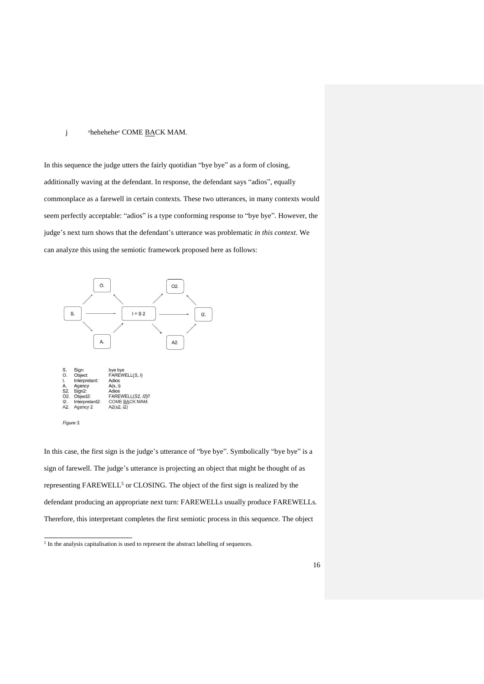# j ohehehee COME BACK MAM.

In this sequence the judge utters the fairly quotidian "bye bye" as a form of closing, additionally waving at the defendant. In response, the defendant says "adios", equally commonplace as a farewell in certain contexts. These two utterances, in many contexts would seem perfectly acceptable: "adios" is a type conforming response to "bye bye". However, the judge's next turn shows that the defendant's utterance was problematic *in this context*. We can analyze this using the semiotic framework proposed here as follows:





In this case, the first sign is the judge's utterance of "bye bye". Symbolically "bye bye" is a sign of farewell. The judge's utterance is projecting an object that might be thought of as representing FAREWELL<sup>5</sup> or CLOSING. The object of the first sign is realized by the defendant producing an appropriate next turn: FAREWELLs usually produce FAREWELLs. Therefore, this interpretant completes the first semiotic process in this sequence. The object

<sup>&</sup>lt;sup>5</sup> In the analysis capitalisation is used to represent the abstract labelling of sequences.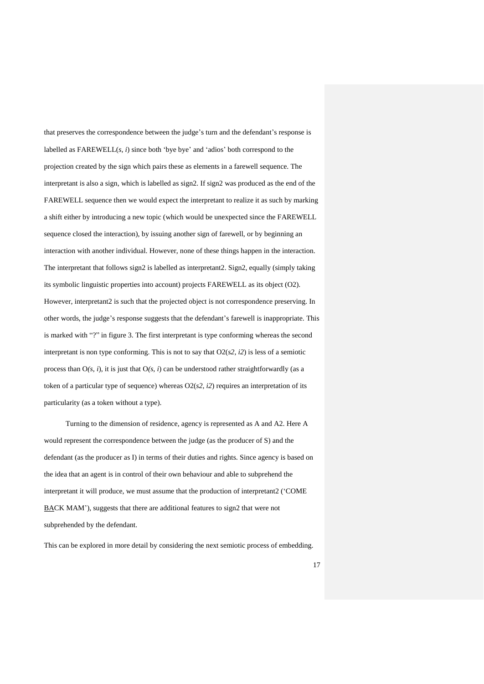that preserves the correspondence between the judge's turn and the defendant's response is labelled as  $FAREWELL(s, i)$  since both 'bye bye' and 'adios' both correspond to the projection created by the sign which pairs these as elements in a farewell sequence. The interpretant is also a sign, which is labelled as sign2. If sign2 was produced as the end of the FAREWELL sequence then we would expect the interpretant to realize it as such by marking a shift either by introducing a new topic (which would be unexpected since the FAREWELL sequence closed the interaction), by issuing another sign of farewell, or by beginning an interaction with another individual. However, none of these things happen in the interaction. The interpretant that follows sign2 is labelled as interpretant2. Sign2, equally (simply taking its symbolic linguistic properties into account) projects FAREWELL as its object (O2). However, interpretant2 is such that the projected object is not correspondence preserving. In other words, the judge's response suggests that the defendant's farewell is inappropriate. This is marked with "?" in figure 3. The first interpretant is type conforming whereas the second interpretant is non type conforming. This is not to say that O2(*s2*, *i2*) is less of a semiotic process than O*(s, i*), it is just that O*(s, i*) can be understood rather straightforwardly (as a token of a particular type of sequence) whereas O2(*s2*, *i2*) requires an interpretation of its particularity (as a token without a type).

Turning to the dimension of residence, agency is represented as A and A2. Here A would represent the correspondence between the judge (as the producer of S) and the defendant (as the producer as I) in terms of their duties and rights. Since agency is based on the idea that an agent is in control of their own behaviour and able to subprehend the interpretant it will produce, we must assume that the production of interpretant2 ('COME BACK MAM'), suggests that there are additional features to sign2 that were not subprehended by the defendant.

This can be explored in more detail by considering the next semiotic process of embedding.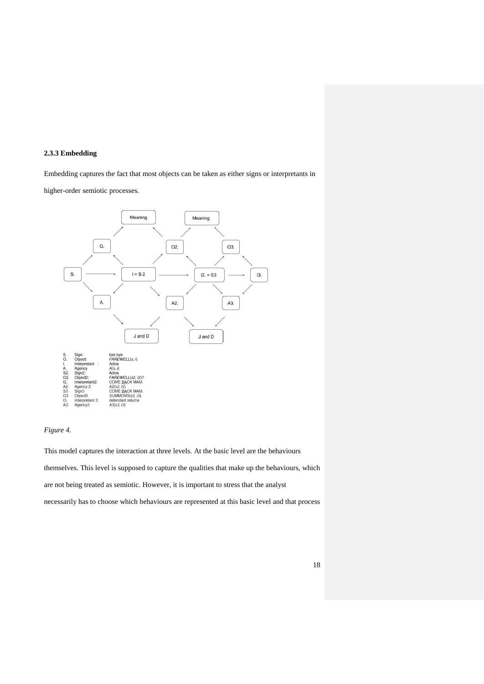# **2.3.3 Embedding**

Embedding captures the fact that most objects can be taken as either signs or interpretants in

higher-order semiotic processes.



# *Figure 4.*

This model captures the interaction at three levels. At the basic level are the behaviours themselves. This level is supposed to capture the qualities that make up the behaviours, which are not being treated as semiotic. However, it is important to stress that the analyst necessarily has to choose which behaviours are represented at this basic level and that process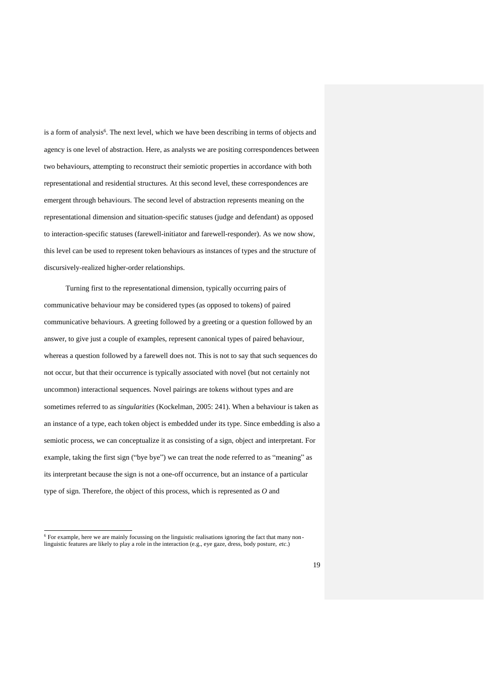is a form of analysis<sup>6</sup>. The next level, which we have been describing in terms of objects and agency is one level of abstraction. Here, as analysts we are positing correspondences between two behaviours, attempting to reconstruct their semiotic properties in accordance with both representational and residential structures. At this second level, these correspondences are emergent through behaviours. The second level of abstraction represents meaning on the representational dimension and situation-specific statuses (judge and defendant) as opposed to interaction-specific statuses (farewell-initiator and farewell-responder). As we now show, this level can be used to represent token behaviours as instances of types and the structure of discursively-realized higher-order relationships.

Turning first to the representational dimension, typically occurring pairs of communicative behaviour may be considered types (as opposed to tokens) of paired communicative behaviours. A greeting followed by a greeting or a question followed by an answer, to give just a couple of examples, represent canonical types of paired behaviour, whereas a question followed by a farewell does not. This is not to say that such sequences do not occur, but that their occurrence is typically associated with novel (but not certainly not uncommon) interactional sequences. Novel pairings are tokens without types and are sometimes referred to as *singularities* (Kockelman, 2005: 241). When a behaviour is taken as an instance of a type, each token object is embedded under its type. Since embedding is also a semiotic process, we can conceptualize it as consisting of a sign, object and interpretant. For example, taking the first sign ("bye bye") we can treat the node referred to as "meaning" as its interpretant because the sign is not a one-off occurrence, but an instance of a particular type of sign. Therefore, the object of this process, which is represented as *O* and

 $\overline{a}$ 

<sup>&</sup>lt;sup>6</sup> For example, here we are mainly focussing on the linguistic realisations ignoring the fact that many nonlinguistic features are likely to play a role in the interaction (e.g., eye gaze, dress, body posture, *etc*.)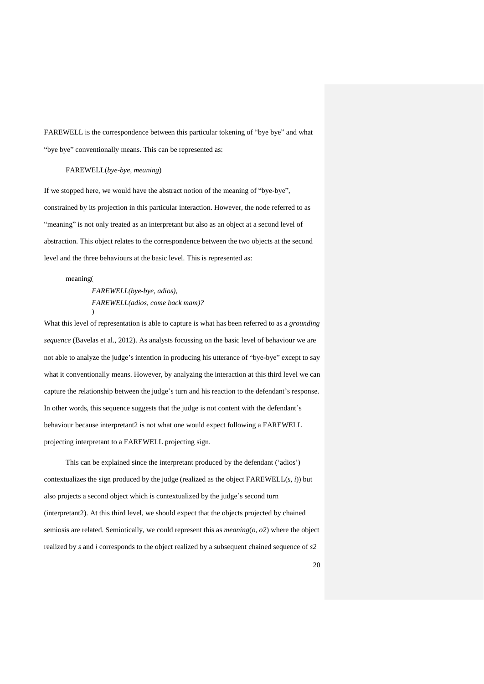FAREWELL is the correspondence between this particular tokening of "bye bye" and what "bye bye" conventionally means. This can be represented as:

## FAREWELL(*bye-bye, meaning*)

If we stopped here, we would have the abstract notion of the meaning of "bye-bye", constrained by its projection in this particular interaction. However, the node referred to as "meaning" is not only treated as an interpretant but also as an object at a second level of abstraction. This object relates to the correspondence between the two objects at the second level and the three behaviours at the basic level. This is represented as:

## meaning(

*FAREWELL(bye-bye, adios), FAREWELL(adios, come back mam)?*  $\lambda$ 

What this level of representation is able to capture is what has been referred to as a *grounding sequence* (Bavelas et al., 2012). As analysts focussing on the basic level of behaviour we are not able to analyze the judge's intention in producing his utterance of "bye-bye" except to say what it conventionally means. However, by analyzing the interaction at this third level we can capture the relationship between the judge's turn and his reaction to the defendant's response. In other words, this sequence suggests that the judge is not content with the defendant's behaviour because interpretant2 is not what one would expect following a FAREWELL projecting interpretant to a FAREWELL projecting sign.

This can be explained since the interpretant produced by the defendant ('adios') contextualizes the sign produced by the judge (realized as the object FAREWELL(*s*, *i*)) but also projects a second object which is contextualized by the judge's second turn (interpretant2). At this third level, we should expect that the objects projected by chained semiosis are related. Semiotically, we could represent this as *meaning*(*o*, *o2*) where the object realized by *s* and *i* corresponds to the object realized by a subsequent chained sequence of *s2*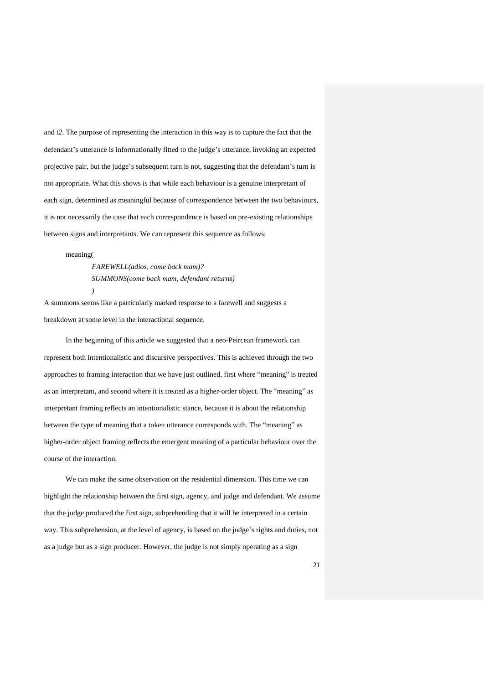and *i2*. The purpose of representing the interaction in this way is to capture the fact that the defendant's utterance is informationally fitted to the judge's utterance, invoking an expected projective pair, but the judge's subsequent turn is not, suggesting that the defendant's turn is not appropriate. What this shows is that while each behaviour is a genuine interpretant of each sign, determined as meaningful because of correspondence between the two behaviours, it is not necessarily the case that each correspondence is based on pre-existing relationships between signs and interpretants. We can represent this sequence as follows:

#### meaning(

*FAREWELL(adios, come back mam)? SUMMONS(come back mam, defendant returns)*

*)*

A summons seems like a particularly marked response to a farewell and suggests a breakdown at some level in the interactional sequence.

In the beginning of this article we suggested that a neo-Peircean framework can represent both intentionalistic and discursive perspectives. This is achieved through the two approaches to framing interaction that we have just outlined, first where "meaning" is treated as an interpretant, and second where it is treated as a higher-order object. The "meaning" as interpretant framing reflects an intentionalistic stance, because it is about the relationship between the type of meaning that a token utterance corresponds with. The "meaning" as higher-order object framing reflects the emergent meaning of a particular behaviour over the course of the interaction.

We can make the same observation on the residential dimension. This time we can highlight the relationship between the first sign, agency, and judge and defendant. We assume that the judge produced the first sign, subprehending that it will be interpreted in a certain way. This subprehension, at the level of agency, is based on the judge's rights and duties, not as a judge but as a sign producer. However, the judge is not simply operating as a sign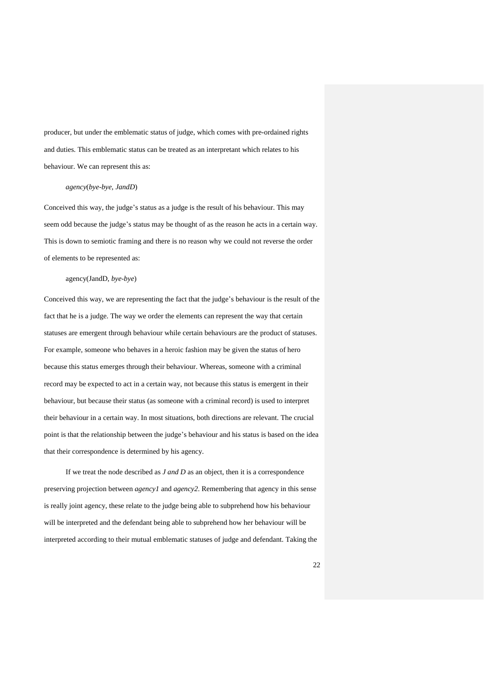producer, but under the emblematic status of judge, which comes with pre-ordained rights and duties. This emblematic status can be treated as an interpretant which relates to his behaviour. We can represent this as:

## *agency*(*bye-bye*, *JandD*)

Conceived this way, the judge's status as a judge is the result of his behaviour. This may seem odd because the judge's status may be thought of as the reason he acts in a certain way. This is down to semiotic framing and there is no reason why we could not reverse the order of elements to be represented as:

## agency(JandD, *bye-bye*)

Conceived this way, we are representing the fact that the judge's behaviour is the result of the fact that he is a judge. The way we order the elements can represent the way that certain statuses are emergent through behaviour while certain behaviours are the product of statuses. For example, someone who behaves in a heroic fashion may be given the status of hero because this status emerges through their behaviour. Whereas, someone with a criminal record may be expected to act in a certain way, not because this status is emergent in their behaviour, but because their status (as someone with a criminal record) is used to interpret their behaviour in a certain way. In most situations, both directions are relevant. The crucial point is that the relationship between the judge's behaviour and his status is based on the idea that their correspondence is determined by his agency.

If we treat the node described as *J and D* as an object, then it is a correspondence preserving projection between *agency1* and *agency2*. Remembering that agency in this sense is really joint agency, these relate to the judge being able to subprehend how his behaviour will be interpreted and the defendant being able to subprehend how her behaviour will be interpreted according to their mutual emblematic statuses of judge and defendant. Taking the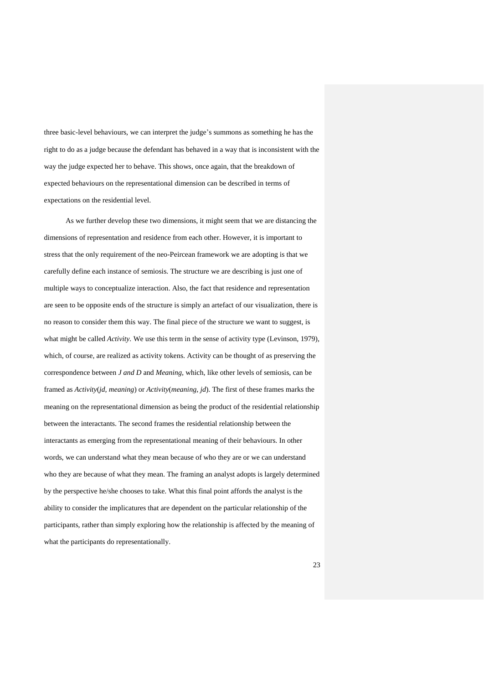three basic-level behaviours, we can interpret the judge's summons as something he has the right to do as a judge because the defendant has behaved in a way that is inconsistent with the way the judge expected her to behave. This shows, once again, that the breakdown of expected behaviours on the representational dimension can be described in terms of expectations on the residential level.

As we further develop these two dimensions, it might seem that we are distancing the dimensions of representation and residence from each other. However, it is important to stress that the only requirement of the neo-Peircean framework we are adopting is that we carefully define each instance of semiosis. The structure we are describing is just one of multiple ways to conceptualize interaction. Also, the fact that residence and representation are seen to be opposite ends of the structure is simply an artefact of our visualization, there is no reason to consider them this way. The final piece of the structure we want to suggest, is what might be called *Activity*. We use this term in the sense of activity type (Levinson, 1979), which, of course, are realized as activity tokens. Activity can be thought of as preserving the correspondence between *J and D* and *Meaning*, which, like other levels of semiosis, can be framed as *Activity*(*jd, meaning*) or *Activity*(*meaning, jd*). The first of these frames marks the meaning on the representational dimension as being the product of the residential relationship between the interactants. The second frames the residential relationship between the interactants as emerging from the representational meaning of their behaviours. In other words, we can understand what they mean because of who they are or we can understand who they are because of what they mean. The framing an analyst adopts is largely determined by the perspective he/she chooses to take. What this final point affords the analyst is the ability to consider the implicatures that are dependent on the particular relationship of the participants, rather than simply exploring how the relationship is affected by the meaning of what the participants do representationally.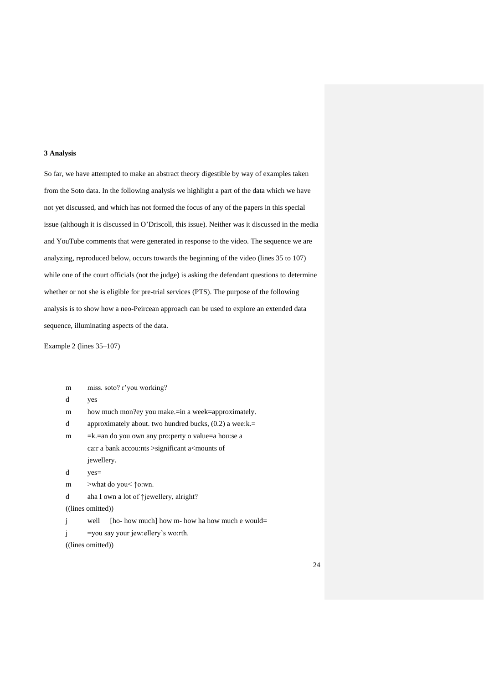### **3 Analysis**

So far, we have attempted to make an abstract theory digestible by way of examples taken from the Soto data. In the following analysis we highlight a part of the data which we have not yet discussed, and which has not formed the focus of any of the papers in this special issue (although it is discussed in O'Driscoll, this issue). Neither was it discussed in the media and YouTube comments that were generated in response to the video. The sequence we are analyzing, reproduced below, occurs towards the beginning of the video (lines 35 to 107) while one of the court officials (not the judge) is asking the defendant questions to determine whether or not she is eligible for pre-trial services (PTS). The purpose of the following analysis is to show how a neo-Peircean approach can be used to explore an extended data sequence, illuminating aspects of the data.

Example 2 (lines 35–107)

| d | <b>ves</b>                                                   |
|---|--------------------------------------------------------------|
| m | how much mon?ey you make.=in a week=approximately.           |
| d | approximately about, two hundred bucks, $(0.2)$ a wee: $k =$ |

m miss. soto? r'you working?

- m =k.=an do you own any pro:perty o value=a hou:se a ca:r a bank accou:nts >significant a<mounts of jewellery.
- d yes=

d aha I own a lot of ↑jewellery, alright?

```
((lines omitted))
```
j well [ho- how much] how m- how ha how much e would=

j =you say your jew: ellery's wo: rth.

((lines omitted))

m >what do you< ↑o:wn.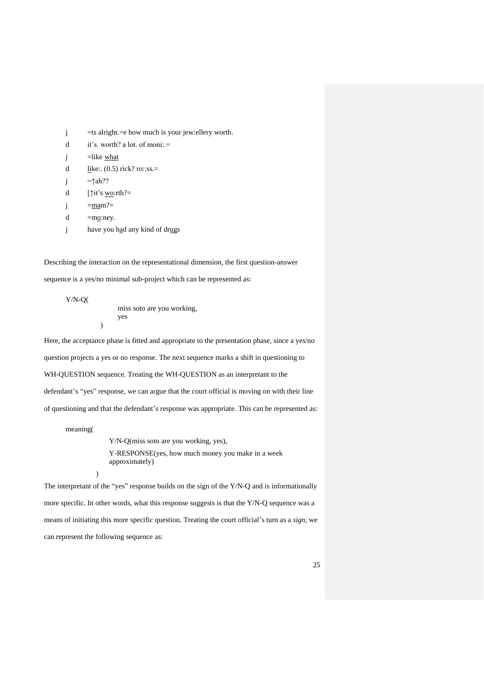- j =ts alright.=e how much is your jew:ellery worth.
- d it's. worth? a lot. of moni:.=
- $i$  =like what
- d like:.  $(0.5)$  rick? ro::ss.=
- j =↑ah??
- d  $[\hat{\uparrow}$ it's wo:rth?=
- $i =$ mam?=
- $d = mQ$ :ney.
- j have you had any kind of drugs

Describing the interaction on the representational dimension, the first question-answer sequence is a yes/no minimal sub-project which can be represented as:

Y/N-Q( miss soto are you working, yes )

Here, the acceptance phase is fitted and appropriate to the presentation phase, since a yes/no question projects a yes or no response. The next sequence marks a shift in questioning to WH-QUESTION sequence. Treating the WH-QUESTION as an interpretant to the defendant's "yes" response, we can argue that the court official is moving on with their line of questioning and that the defendant's response was appropriate. This can be represented as:

meaning(

)

Y/N-Q(miss soto are you working, yes), Y-RESPONSE(yes, how much money you make in a week approximately)

The interpretant of the "yes" response builds on the sign of the Y/N-Q and is informationally more specific. In other words, what this response suggests is that the Y/N-Q sequence was a means of initiating this more specific question. Treating the court official's turn as a *sign*, we can represent the following sequence as: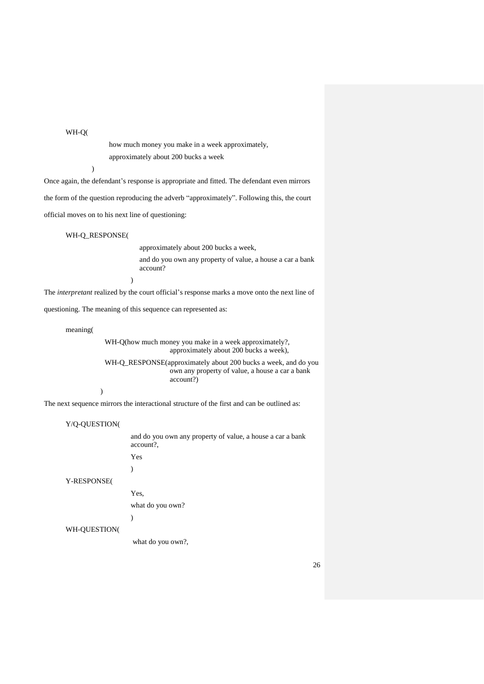# WH-Q(

how much money you make in a week approximately, approximately about 200 bucks a week

#### )

Once again, the defendant's response is appropriate and fitted. The defendant even mirrors the form of the question reproducing the adverb "approximately". Following this, the court official moves on to his next line of questioning:

## WH-Q\_RESPONSE(

approximately about 200 bucks a week,

and do you own any property of value, a house a car a bank account?

)

The *interpretant* realized by the court official's response marks a move onto the next line of

questioning. The meaning of this sequence can represented as:

meaning(

WH-Q(how much money you make in a week approximately?, approximately about 200 bucks a week),

WH-O RESPONSE(approximately about 200 bucks a week, and do you own any property of value, a house a car a bank account?)

)

The next sequence mirrors the interactional structure of the first and can be outlined as:

Y/Q-QUESTION(

and do you own any property of value, a house a car a bank account?, Yes ) Yes,

what do you own? )

WH-QUESTION(

Y-RESPONSE(

what do you own?,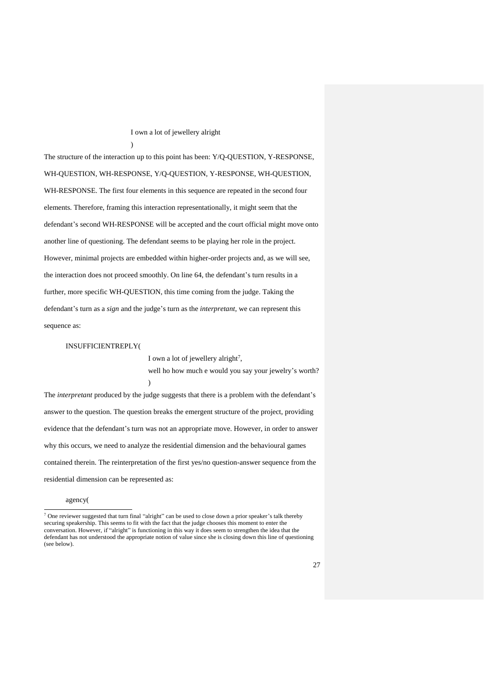## I own a lot of jewellery alright

 $\lambda$ 

The structure of the interaction up to this point has been: Y/Q-QUESTION, Y-RESPONSE, WH-QUESTION, WH-RESPONSE, Y/Q-QUESTION, Y-RESPONSE, WH-QUESTION, WH-RESPONSE. The first four elements in this sequence are repeated in the second four elements. Therefore, framing this interaction representationally, it might seem that the defendant's second WH-RESPONSE will be accepted and the court official might move onto another line of questioning. The defendant seems to be playing her role in the project. However, minimal projects are embedded within higher-order projects and, as we will see, the interaction does not proceed smoothly. On line 64, the defendant's turn results in a further, more specific WH-QUESTION, this time coming from the judge. Taking the defendant's turn as a *sign* and the judge's turn as the *interpretant*, we can represent this sequence as:

#### INSUFFICIENTREPLY(

I own a lot of jewellery alright<sup>7</sup>,

well ho how much e would you say your jewelry's worth? )

The *interpretant* produced by the judge suggests that there is a problem with the defendant's answer to the question. The question breaks the emergent structure of the project, providing evidence that the defendant's turn was not an appropriate move. However, in order to answer why this occurs, we need to analyze the residential dimension and the behavioural games contained therein. The reinterpretation of the first yes/no question-answer sequence from the residential dimension can be represented as:

agency(

 $\overline{a}$ 

<sup>&</sup>lt;sup>7</sup> One reviewer suggested that turn final "alright" can be used to close down a prior speaker's talk thereby securing speakership. This seems to fit with the fact that the judge chooses this moment to enter the conversation. However, if "alright" is functioning in this way it does seem to strengthen the idea that the defendant has not understood the appropriate notion of value since she is closing down this line of questioning (see below).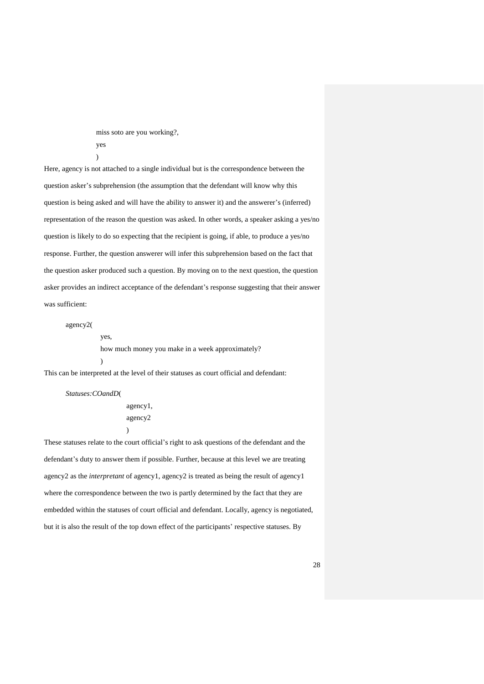miss soto are you working?,

yes  $\lambda$ 

Here, agency is not attached to a single individual but is the correspondence between the question asker's subprehension (the assumption that the defendant will know why this question is being asked and will have the ability to answer it) and the answerer's (inferred) representation of the reason the question was asked. In other words, a speaker asking a yes/no question is likely to do so expecting that the recipient is going, if able, to produce a yes/no response. Further, the question answerer will infer this subprehension based on the fact that the question asker produced such a question. By moving on to the next question, the question asker provides an indirect acceptance of the defendant's response suggesting that their answer was sufficient:

agency2(

yes,

how much money you make in a week approximately?

)

This can be interpreted at the level of their statuses as court official and defendant:

*Statuses:COandD*(

agency1, agency2  $\lambda$ 

These statuses relate to the court official's right to ask questions of the defendant and the defendant's duty to answer them if possible. Further, because at this level we are treating agency2 as the *interpretant* of agency1, agency2 is treated as being the result of agency1 where the correspondence between the two is partly determined by the fact that they are embedded within the statuses of court official and defendant. Locally, agency is negotiated, but it is also the result of the top down effect of the participants' respective statuses. By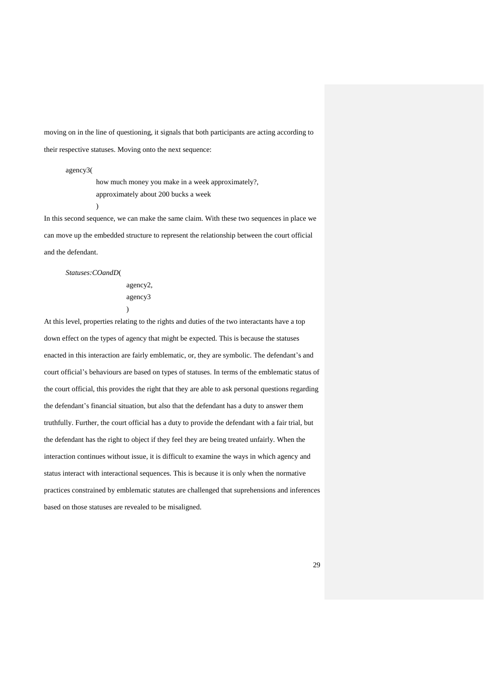moving on in the line of questioning, it signals that both participants are acting according to their respective statuses. Moving onto the next sequence:

agency3(

how much money you make in a week approximately?, approximately about 200 bucks a week

)

In this second sequence, we can make the same claim. With these two sequences in place we can move up the embedded structure to represent the relationship between the court official and the defendant.

*Statuses:COandD*(

agency2, agency3  $\lambda$ 

At this level, properties relating to the rights and duties of the two interactants have a top down effect on the types of agency that might be expected. This is because the statuses enacted in this interaction are fairly emblematic, or, they are symbolic. The defendant's and court official's behaviours are based on types of statuses. In terms of the emblematic status of the court official, this provides the right that they are able to ask personal questions regarding the defendant's financial situation, but also that the defendant has a duty to answer them truthfully. Further, the court official has a duty to provide the defendant with a fair trial, but the defendant has the right to object if they feel they are being treated unfairly. When the interaction continues without issue, it is difficult to examine the ways in which agency and status interact with interactional sequences. This is because it is only when the normative practices constrained by emblematic statutes are challenged that suprehensions and inferences based on those statuses are revealed to be misaligned.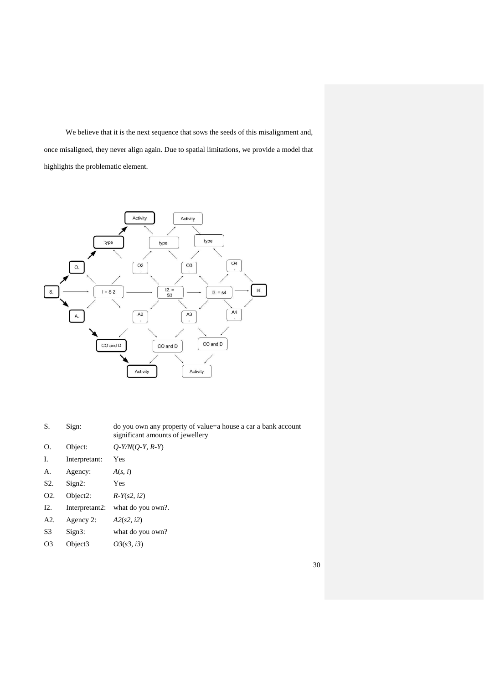We believe that it is the next sequence that sows the seeds of this misalignment and, once misaligned, they never align again. Due to spatial limitations, we provide a model that highlights the problematic element.



| S. | Sign: | do you own any property of value=a house a car a bank account |
|----|-------|---------------------------------------------------------------|
|    |       | significant amounts of jewellery                              |

| O.               | Object:               | $Q-Y/N(Q-Y, R-Y)$ |
|------------------|-----------------------|-------------------|
| Ι.               | Interpretant:         | Yes               |
| А.               | Agency:               | A(s, i)           |
| S <sub>2</sub> . | $Sign2$ :             | Yes               |
| O <sub>2</sub> . | Object <sub>2</sub> : | $R-Y(s2, i2)$     |
| I2.              | Interpretant2:        | what do you own?. |

- A2. Agency 2: *A2*(*s2, i2*)
- 
- S3 Sign3: what do you own?
- O3 Object3 *O3*(*s3, i3*)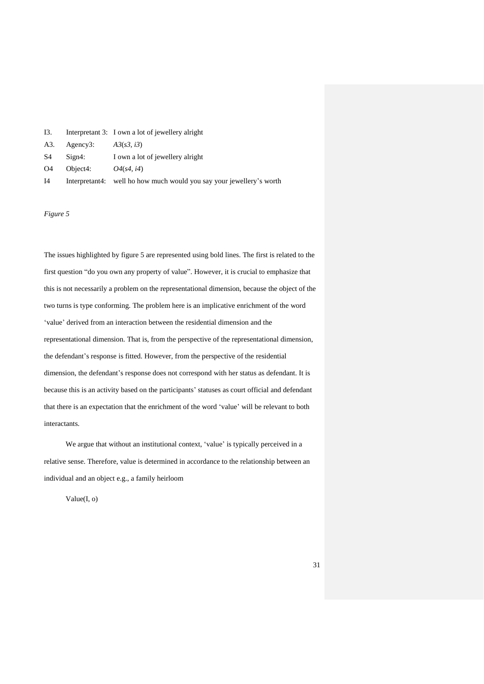| I3.  |           | Interpretant 3: I own a lot of jewellery alright                     |
|------|-----------|----------------------------------------------------------------------|
| A3.  | Agency3:  | A3(s3, i3)                                                           |
| S4   | $Sign4$ : | I own a lot of jewellery alright                                     |
| O4   | Object4:  | O4(s4, i4)                                                           |
| - 14 |           | Interpretant4: well ho how much would you say your jewellery's worth |

## *Figure 5*

The issues highlighted by figure 5 are represented using bold lines. The first is related to the first question "do you own any property of value". However, it is crucial to emphasize that this is not necessarily a problem on the representational dimension, because the object of the two turns is type conforming. The problem here is an implicative enrichment of the word 'value' derived from an interaction between the residential dimension and the representational dimension. That is, from the perspective of the representational dimension, the defendant's response is fitted. However, from the perspective of the residential dimension, the defendant's response does not correspond with her status as defendant. It is because this is an activity based on the participants' statuses as court official and defendant that there is an expectation that the enrichment of the word 'value' will be relevant to both interactants.

We argue that without an institutional context, 'value' is typically perceived in a relative sense. Therefore, value is determined in accordance to the relationship between an individual and an object e.g., a family heirloom

Value(I, o)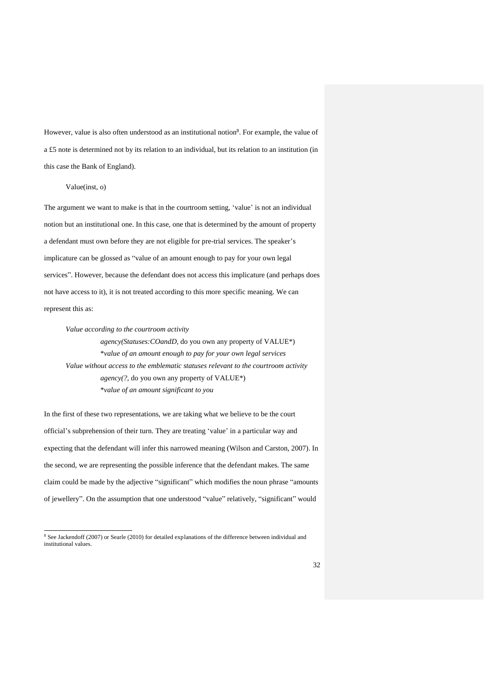However, value is also often understood as an institutional notion<sup>8</sup>. For example, the value of a £5 note is determined not by its relation to an individual, but its relation to an institution (in this case the Bank of England).

## Value(inst, o)

 $\overline{a}$ 

The argument we want to make is that in the courtroom setting, 'value' is not an individual notion but an institutional one. In this case, one that is determined by the amount of property a defendant must own before they are not eligible for pre-trial services. The speaker's implicature can be glossed as "value of an amount enough to pay for your own legal services". However, because the defendant does not access this implicature (and perhaps does not have access to it), it is not treated according to this more specific meaning. We can represent this as:

*Value according to the courtroom activity*

*agency(Statuses:COandD,* do you own any property of VALUE\*) \**value of an amount enough to pay for your own legal services Value without access to the emblematic statuses relevant to the courtroom activity agency(?,* do you own any property of VALUE\*) \**value of an amount significant to you*

In the first of these two representations, we are taking what we believe to be the court official's subprehension of their turn. They are treating 'value' in a particular way and expecting that the defendant will infer this narrowed meaning (Wilson and Carston, 2007). In the second, we are representing the possible inference that the defendant makes. The same claim could be made by the adjective "significant" which modifies the noun phrase "amounts of jewellery". On the assumption that one understood "value" relatively, "significant" would

<sup>&</sup>lt;sup>8</sup> See Jackendoff (2007) or Searle (2010) for detailed explanations of the difference between individual and institutional values.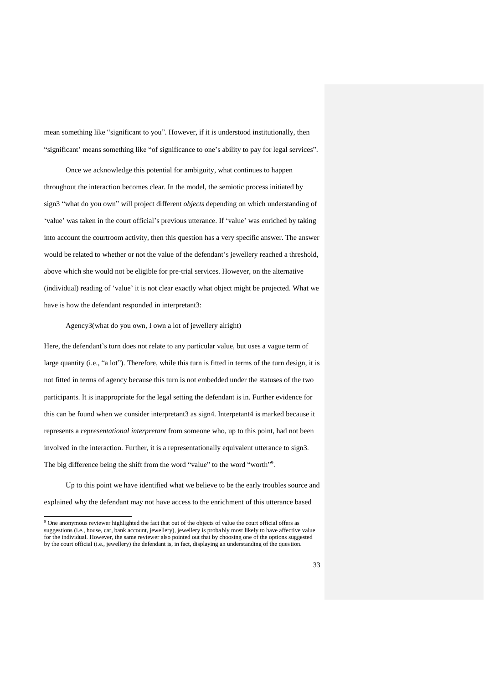mean something like "significant to you". However, if it is understood institutionally, then "significant' means something like "of significance to one's ability to pay for legal services".

Once we acknowledge this potential for ambiguity, what continues to happen throughout the interaction becomes clear. In the model, the semiotic process initiated by sign3 "what do you own" will project different *objects* depending on which understanding of 'value' was taken in the court official's previous utterance. If 'value' was enriched by taking into account the courtroom activity, then this question has a very specific answer. The answer would be related to whether or not the value of the defendant's jewellery reached a threshold, above which she would not be eligible for pre-trial services. However, on the alternative (individual) reading of 'value' it is not clear exactly what object might be projected. What we have is how the defendant responded in interpretant3:

Agency3(what do you own, I own a lot of jewellery alright)

Here, the defendant's turn does not relate to any particular value, but uses a vague term of large quantity (i.e., "a lot"). Therefore, while this turn is fitted in terms of the turn design, it is not fitted in terms of agency because this turn is not embedded under the statuses of the two participants. It is inappropriate for the legal setting the defendant is in. Further evidence for this can be found when we consider interpretant3 as sign4. Interpetant4 is marked because it represents a *representational interpretant* from someone who, up to this point, had not been involved in the interaction. Further, it is a representationally equivalent utterance to sign3. The big difference being the shift from the word "value" to the word "worth"<sup>9</sup>.

Up to this point we have identified what we believe to be the early troubles source and explained why the defendant may not have access to the enrichment of this utterance based

 $\overline{a}$ 

<sup>&</sup>lt;sup>9</sup> One anonymous reviewer highlighted the fact that out of the objects of value the court official offers as suggestions (i.e., house, car, bank account, jewellery), jewellery is probably most likely to have affective value for the individual. However, the same reviewer also pointed out that by choosing one of the options suggested by the court official (i.e., jewellery) the defendant is, in fact, displaying an understanding of the question.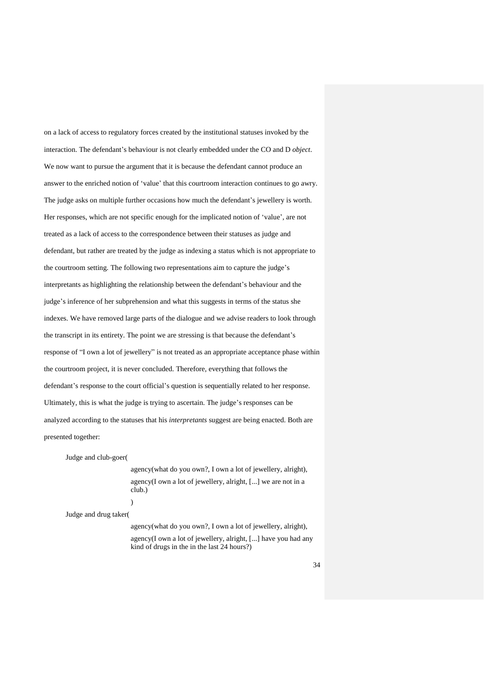on a lack of access to regulatory forces created by the institutional statuses invoked by the interaction. The defendant's behaviour is not clearly embedded under the CO and D *object*. We now want to pursue the argument that it is because the defendant cannot produce an answer to the enriched notion of 'value' that this courtroom interaction continues to go awry. The judge asks on multiple further occasions how much the defendant's jewellery is worth. Her responses, which are not specific enough for the implicated notion of 'value', are not treated as a lack of access to the correspondence between their statuses as judge and defendant, but rather are treated by the judge as indexing a status which is not appropriate to the courtroom setting. The following two representations aim to capture the judge's interpretants as highlighting the relationship between the defendant's behaviour and the judge's inference of her subprehension and what this suggests in terms of the status she indexes. We have removed large parts of the dialogue and we advise readers to look through the transcript in its entirety. The point we are stressing is that because the defendant's response of "I own a lot of jewellery" is not treated as an appropriate acceptance phase within the courtroom project, it is never concluded. Therefore, everything that follows the defendant's response to the court official's question is sequentially related to her response. Ultimately, this is what the judge is trying to ascertain. The judge's responses can be analyzed according to the statuses that his *interpretants* suggest are being enacted. Both are presented together:

Judge and club-goer(

agency(what do you own?, I own a lot of jewellery, alright), agency(I own a lot of jewellery, alright, [...] we are not in a club.)

Judge and drug taker(

)

agency(what do you own?, I own a lot of jewellery, alright),

agency(I own a lot of jewellery, alright, [...] have you had any kind of drugs in the in the last 24 hours?)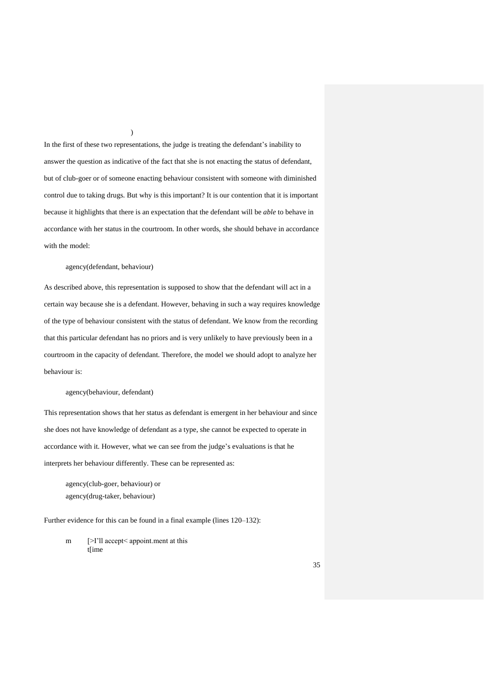In the first of these two representations, the judge is treating the defendant's inability to answer the question as indicative of the fact that she is not enacting the status of defendant, but of club-goer or of someone enacting behaviour consistent with someone with diminished control due to taking drugs. But why is this important? It is our contention that it is important because it highlights that there is an expectation that the defendant will be *able* to behave in accordance with her status in the courtroom. In other words, she should behave in accordance with the model:

## agency(defendant, behaviour)

)

As described above, this representation is supposed to show that the defendant will act in a certain way because she is a defendant. However, behaving in such a way requires knowledge of the type of behaviour consistent with the status of defendant. We know from the recording that this particular defendant has no priors and is very unlikely to have previously been in a courtroom in the capacity of defendant. Therefore, the model we should adopt to analyze her behaviour is:

#### agency(behaviour, defendant)

This representation shows that her status as defendant is emergent in her behaviour and since she does not have knowledge of defendant as a type, she cannot be expected to operate in accordance with it. However, what we can see from the judge's evaluations is that he interprets her behaviour differently. These can be represented as:

agency(club-goer, behaviour) or agency(drug-taker, behaviour)

Further evidence for this can be found in a final example (lines 120–132):

m [>I'll accept< appoint.ment at this t[ime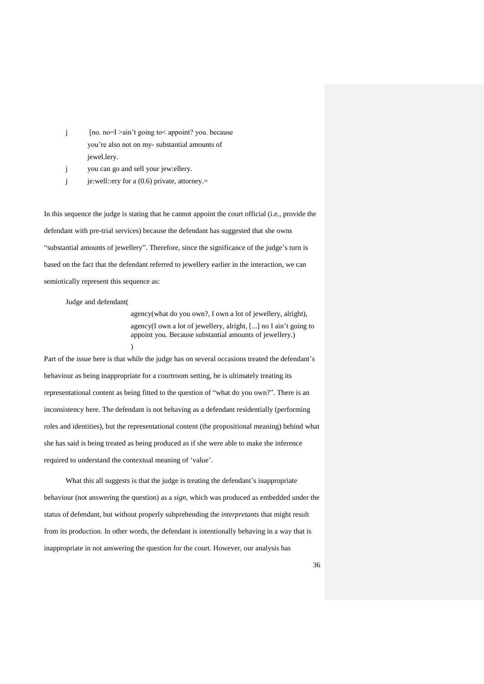- j [no. no=I > ain't going to < appoint? you. because you're also not on my- substantial amounts of jewel.lery.
- j you can go and sell your jew:ellery.
- j je:well::ery for a (0.6) private, attorney.=

In this sequence the judge is stating that he cannot appoint the court official (i.e., provide the defendant with pre-trial services) because the defendant has suggested that she owns "substantial amounts of jewellery". Therefore, since the significance of the judge's turn is based on the fact that the defendant referred to jewellery earlier in the interaction, we can semiotically represent this sequence as:

#### Judge and defendant(

agency(what do you own?, I own a lot of jewellery, alright), agency(I own a lot of jewellery, alright, [...] no I ain't going to appoint you. Because substantial amounts of jewellery.)  $\lambda$ 

Part of the issue here is that while the judge has on several occasions treated the defendant's behaviour as being inappropriate for a courtroom setting, he is ultimately treating its representational content as being fitted to the question of "what do you own?". There is an inconsistency here. The defendant is not behaving as a defendant residentially (performing roles and identities), but the representational content (the propositional meaning) behind what she has said is being treated as being produced as if she were able to make the inference required to understand the contextual meaning of 'value'.

What this all suggests is that the judge is treating the defendant's inappropriate behaviour (not answering the question) as a *sign*, which was produced as embedded under the status of defendant, but without properly subprehending the *interpretants* that might result from its production. In other words, the defendant is intentionally behaving in a way that is inappropriate in not answering the question for the court. However, our analysis has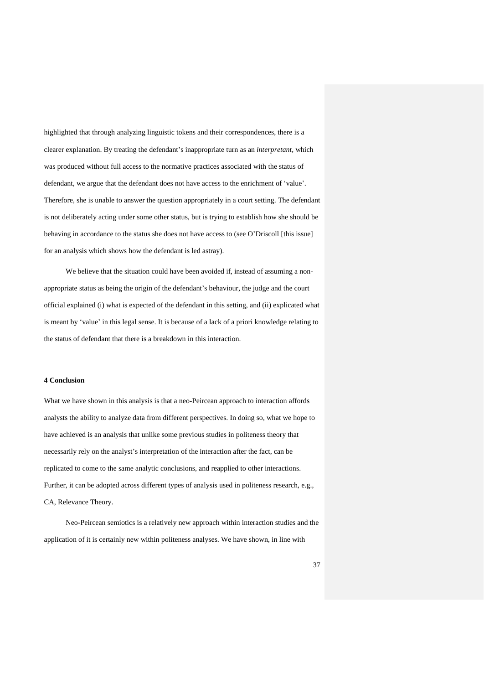highlighted that through analyzing linguistic tokens and their correspondences, there is a clearer explanation. By treating the defendant's inappropriate turn as an *interpretant*, which was produced without full access to the normative practices associated with the status of defendant, we argue that the defendant does not have access to the enrichment of 'value'. Therefore, she is unable to answer the question appropriately in a court setting. The defendant is not deliberately acting under some other status, but is trying to establish how she should be behaving in accordance to the status she does not have access to (see O'Driscoll [this issue] for an analysis which shows how the defendant is led astray).

We believe that the situation could have been avoided if, instead of assuming a nonappropriate status as being the origin of the defendant's behaviour, the judge and the court official explained (i) what is expected of the defendant in this setting, and (ii) explicated what is meant by 'value' in this legal sense. It is because of a lack of a priori knowledge relating to the status of defendant that there is a breakdown in this interaction.

## **4 Conclusion**

What we have shown in this analysis is that a neo-Peircean approach to interaction affords analysts the ability to analyze data from different perspectives. In doing so, what we hope to have achieved is an analysis that unlike some previous studies in politeness theory that necessarily rely on the analyst's interpretation of the interaction after the fact, can be replicated to come to the same analytic conclusions, and reapplied to other interactions. Further, it can be adopted across different types of analysis used in politeness research, e.g., CA, Relevance Theory.

Neo-Peircean semiotics is a relatively new approach within interaction studies and the application of it is certainly new within politeness analyses. We have shown, in line with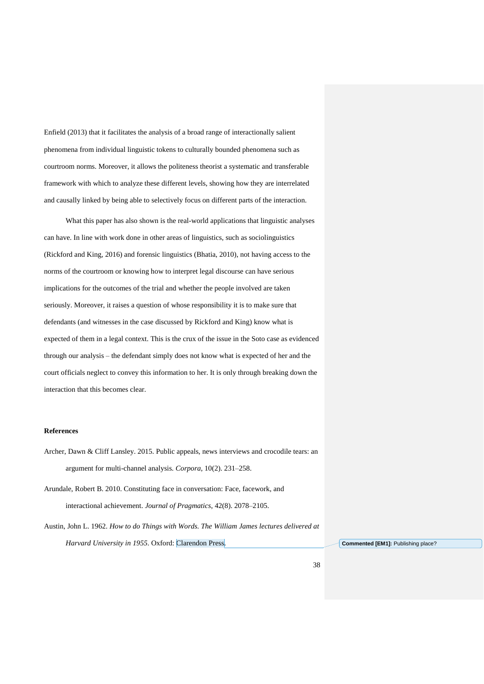Enfield (2013) that it facilitates the analysis of a broad range of interactionally salient phenomena from individual linguistic tokens to culturally bounded phenomena such as courtroom norms. Moreover, it allows the politeness theorist a systematic and transferable framework with which to analyze these different levels, showing how they are interrelated and causally linked by being able to selectively focus on different parts of the interaction.

What this paper has also shown is the real-world applications that linguistic analyses can have. In line with work done in other areas of linguistics, such as sociolinguistics (Rickford and King, 2016) and forensic linguistics (Bhatia, 2010), not having access to the norms of the courtroom or knowing how to interpret legal discourse can have serious implications for the outcomes of the trial and whether the people involved are taken seriously. Moreover, it raises a question of whose responsibility it is to make sure that defendants (and witnesses in the case discussed by Rickford and King) know what is expected of them in a legal context. This is the crux of the issue in the Soto case as evidenced through our analysis – the defendant simply does not know what is expected of her and the court officials neglect to convey this information to her. It is only through breaking down the interaction that this becomes clear.

## **References**

- Archer, Dawn & Cliff Lansley. 2015. Public appeals, news interviews and crocodile tears: an argument for multi-channel analysis. *Corpora*, 10(2). 231–258.
- Arundale, Robert B. 2010. Constituting face in conversation: Face, facework, and interactional achievement. *Journal of Pragmatics*, 42(8). 2078–2105.
- Austin, John L. 1962. *How to do Things with Words. The William James lectures delivered at Harvard University in 1955*. Oxford: Clarendon Press. **Commented [EM1]:** Publishing place?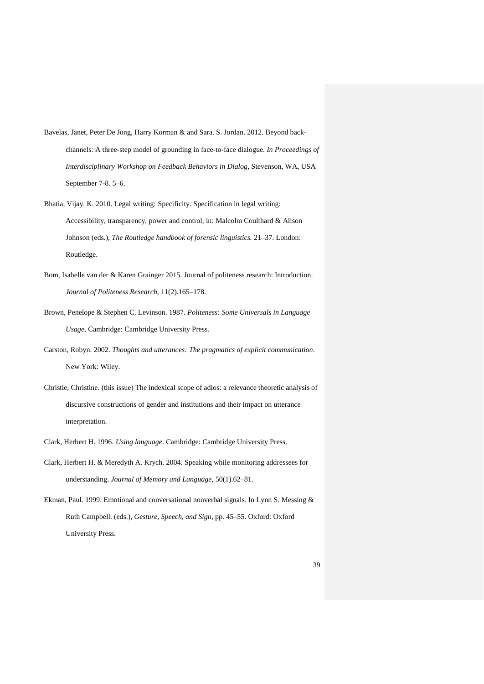- Bavelas, Janet, Peter De Jong, Harry Korman & and Sara. S. Jordan. 2012. Beyond backchannels: A three-step model of grounding in face-to-face dialogue. *In Proceedings of Interdisciplinary Workshop on Feedback Behaviors in Dialog*, Stevenson, WA, USA September 7-8. 5–6.
- Bhatia, Vijay. K. 2010. Legal writing: Specificity. Specification in legal writing: Accessibility, transparency, power and control, in: Malcolm Coulthard & Alison Johnson (eds.), *The Routledge handbook of forensic linguistics.* 21–37. London: Routledge.
- Bom, Isabelle van der & Karen Grainger 2015. Journal of politeness research: Introduction. *Journal of Politeness Research*, 11(2).165–178.
- Brown, Penelope & Stephen C. Levinson. 1987. *Politeness: Some Universals in Language Usage*. Cambridge: Cambridge University Press.
- Carston, Robyn. 2002. *Thoughts and utterances: The pragmatics of explicit communication*. New York: Wiley.
- Christie, Christine. (this issue) The indexical scope of adios: a relevance theoretic analysis of discursive constructions of gender and institutions and their impact on utterance interpretation.
- Clark, Herbert H. 1996. *Using language*. Cambridge: Cambridge University Press.
- Clark, Herbert H. & Meredyth A. Krych. 2004. Speaking while monitoring addressees for understanding. *Journal of Memory and Language*, 50(1).62–81.
- Ekman, Paul. 1999. Emotional and conversational nonverbal signals. In Lynn S. Messing & Ruth Campbell. (eds.), *Gesture, Speech, and Sign*, pp. 45–55. Oxford: Oxford University Press.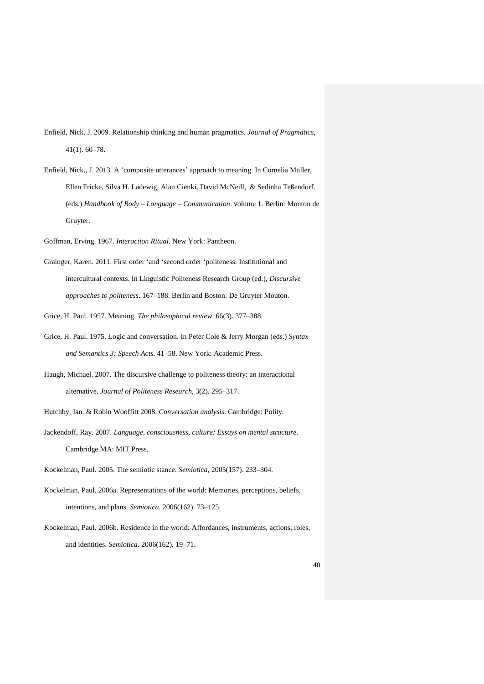- Enfield, Nick. J. 2009. Relationship thinking and human pragmatics. *Journal of Pragmatics*, 41(1). 60–78.
- Enfield, Nick., J. 2013. A 'composite utterances' approach to meaning. In Cornelia Müller, Ellen Fricke, Silva H. Ladewig, Alan Cienki, David McNeill, & Sedinha Teßendorf. (eds.) *Handbook of Body – Language – Communication*. volume 1. Berlin: Mouton de Gruyter.

Goffman, Erving. 1967. *Interaction Ritual*. New York: Pantheon.

Grainger, Karen. 2011. First order 'and 'second order 'politeness: Institutional and intercultural contexts. In Linguistic Politeness Research Group (ed.), *Discursive approaches to politeness*. 167–188. Berlin and Boston: De Gruyter Mouton.

Grice, H. Paul. 1957. Meaning. *The philosophical review*. 66(3). 377–388.

- Grice, H. Paul. 1975. Logic and conversation. In Peter Cole & Jerry Morgan (eds.) *Syntax and Semantics 3: Speech Acts*. 41–58. New York: Academic Press.
- Haugh, Michael. 2007. The discursive challenge to politeness theory: an interactional alternative. *Journal of Politeness Research*, 3(2). 295–317.
- Hutchby, Ian. & Robin Wooffitt 2008. *Conversation analysis*. Cambridge: Polity.
- Jackendoff, Ray. 2007. *Language, consciousness, culture: Essays on mental structure*. Cambridge MA: MIT Press.
- Kockelman, Paul. 2005. The semiotic stance. *Semiotica*, 2005(157). 233–304.
- Kockelman, Paul. 2006a. Representations of the world: Memories, perceptions, beliefs, intentions, and plans. *Semiotica*. 2006(162). 73–125.
- Kockelman, Paul. 2006b. Residence in the world: Affordances, instruments, actions, roles, and identities. *Semiotica*. 2006(162). 19–71.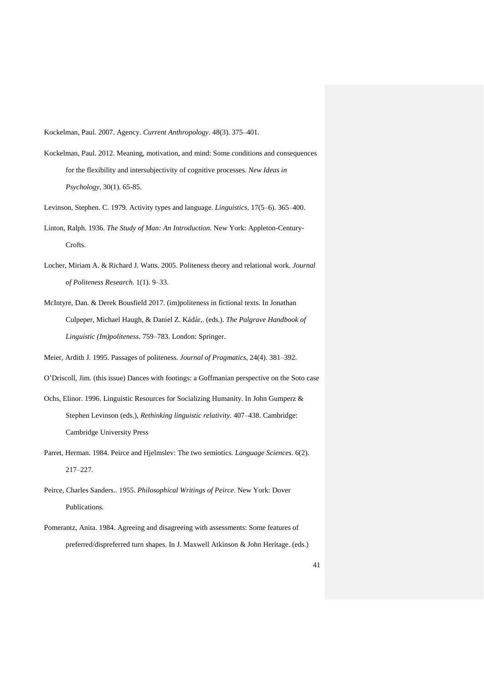Kockelman, Paul. 2007. Agency. *Current Anthropology*. 48(3). 375–401.

- Kockelman, Paul. 2012. Meaning, motivation, and mind: Some conditions and consequences for the flexibility and intersubjectivity of cognitive processes. *New Ideas in Psychology*, 30(1). 65-85.
- Levinson, Stephen. C. 1979. Activity types and language. *Linguistics*, 17(5–6). 365–400.
- Linton, Ralph. 1936. *The Study of Man: An Introduction*. New York: Appleton-Century-Crofts.
- Locher, Miriam A. & Richard J. Watts. 2005. Politeness theory and relational work. *Journal of Politeness Research*. 1(1). 9–33.
- McIntyre, Dan. & Derek Bousfield 2017. (im)politeness in fictional texts. In Jonathan Culpeper, Michael Haugh, & Daniel Z. Kádár,. (eds.). *The Palgrave Handbook of Linguistic (Im)politeness*. 759–783. London: Springer.
- Meier, Ardith J. 1995. Passages of politeness. *Journal of Pragmatics*, 24(4). 381–392.
- O'Driscoll, Jim. (this issue) Dances with footings: a Goffmanian perspective on the Soto case
- Ochs, Elinor. 1996. Linguistic Resources for Socializing Humanity. In John Gumperz & Stephen Levinson (eds.), *Rethinking linguistic relativity.* 407–438. Cambridge: Cambridge University Press
- Parret, Herman. 1984. Peirce and Hjelmslev: The two semiotics. *Language Sciences*. 6(2). 217–227.
- Peirce, Charles Sanders.. 1955. *Philosophical Writings of Peirce*. New York: Dover Publications.
- Pomerantz, Anita. 1984. Agreeing and disagreeing with assessments: Some features of preferred/dispreferred turn shapes. In J. Maxwell Atkinson & John Heritage. (eds.)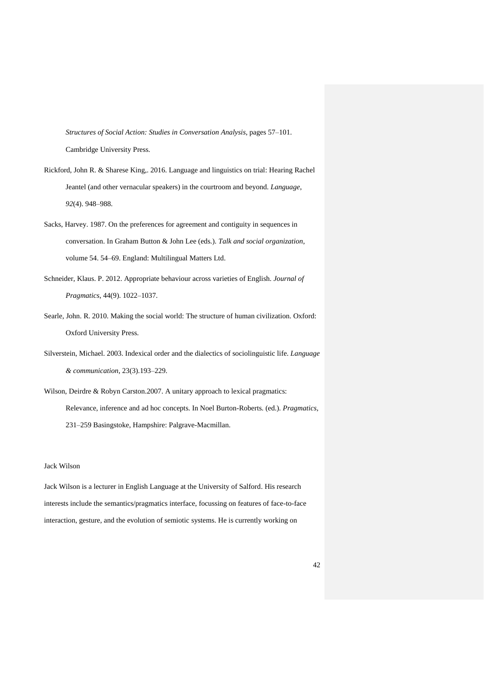*Structures of Social Action: Studies in Conversation Analysis*, pages 57–101. Cambridge University Press.

- Rickford, John R. & Sharese King,. 2016. Language and linguistics on trial: Hearing Rachel Jeantel (and other vernacular speakers) in the courtroom and beyond. *Language*, *92*(4). 948–988.
- Sacks, Harvey. 1987. On the preferences for agreement and contiguity in sequences in conversation. In Graham Button & John Lee (eds.). *Talk and social organization*, volume 54. 54–69. England: Multilingual Matters Ltd.
- Schneider, Klaus. P. 2012. Appropriate behaviour across varieties of English. *Journal of Pragmatics*, 44(9). 1022–1037.
- Searle, John. R. 2010. Making the social world: The structure of human civilization. Oxford: Oxford University Press.
- Silverstein, Michael. 2003. Indexical order and the dialectics of sociolinguistic life. *Language & communication*, 23(3).193–229.
- Wilson, Deirdre & Robyn Carston.2007. A unitary approach to lexical pragmatics: Relevance, inference and ad hoc concepts. In Noel Burton-Roberts. (ed.). *Pragmatics*, 231–259 Basingstoke, Hampshire: Palgrave-Macmillan.

# Jack Wilson

Jack Wilson is a lecturer in English Language at the University of Salford. His research interests include the semantics/pragmatics interface, focussing on features of face-to-face interaction, gesture, and the evolution of semiotic systems. He is currently working on